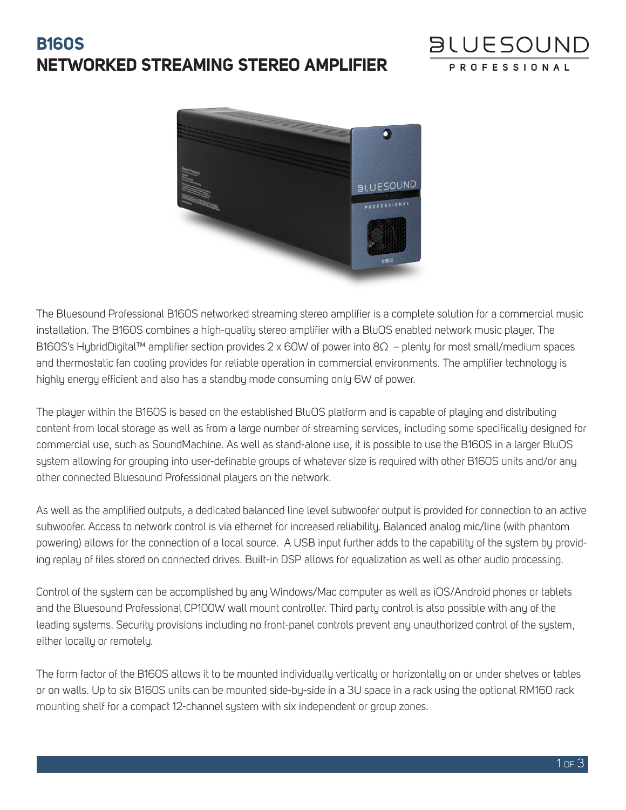## **B160S NETWORKED STREAMING STEREO AMPLIFIER**



The Bluesound Professional B160S networked streaming stereo amplifier is a complete solution for a commercial music installation. The B160S combines a high-quality stereo amplifier with a BluOS enabled network music player. The B160S's HybridDigital™ amplifier section provides 2 x 60W of power into 8Ω – plenty for most small/medium spaces and thermostatic fan cooling provides for reliable operation in commercial environments. The amplifier technology is highly energy efficient and also has a standby mode consuming only 6W of power.

The player within the B160S is based on the established BluOS platform and is capable of playing and distributing content from local storage as well as from a large number of streaming services, including some specifically designed for commercial use, such as SoundMachine. As well as stand-alone use, it is possible to use the B160S in a larger BluOS system allowing for grouping into user-definable groups of whatever size is required with other B160S units and/or any other connected Bluesound Professional players on the network.

As well as the amplified outputs, a dedicated balanced line level subwoofer output is provided for connection to an active subwoofer. Access to network control is via ethernet for increased reliability. Balanced analog mic/line (with phantom powering) allows for the connection of a local source. A USB input further adds to the capability of the system by providing replay of files stored on connected drives. Built-in DSP allows for equalization as well as other audio processing.

Control of the system can be accomplished by any Windows/Mac computer as well as iOS/Android phones or tablets and the Bluesound Professional CP100W wall mount controller. Third party control is also possible with any of the leading systems. Security provisions including no front-panel controls prevent any unauthorized control of the system, either locally or remotely.

The form factor of the B160S allows it to be mounted individually vertically or horizontally on or under shelves or tables or on walls. Up to six B160S units can be mounted side-by-side in a 3U space in a rack using the optional RM160 rack mounting shelf for a compact 12-channel system with six independent or group zones.

**BLUESOUND** 

**PROFESSION**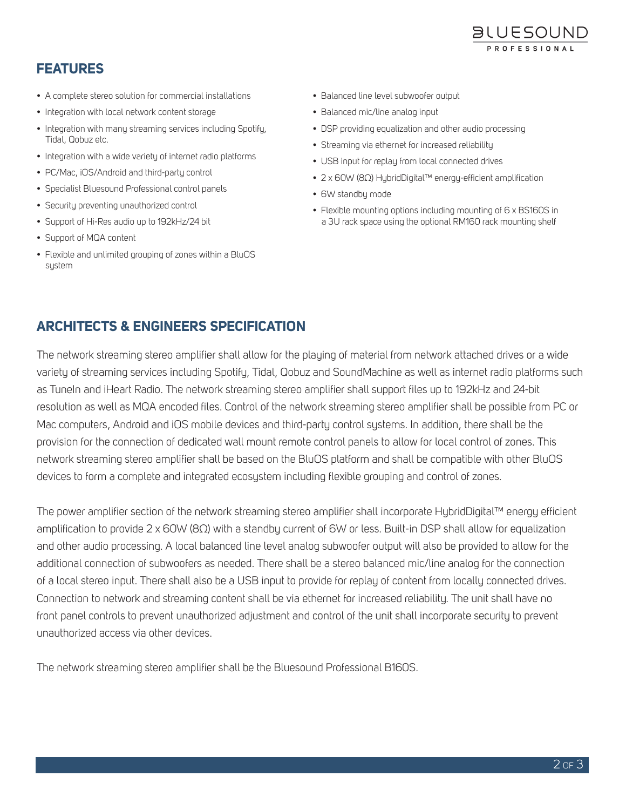

## **FEATURES**

- A complete stereo solution for commercial installations
- Integration with local network content storage
- Integration with many streaming services including Spotify, Tidal, Qobuz etc.
- Integration with a wide variety of internet radio platforms
- PC/Mac, iOS/Android and third-party control
- Specialist Bluesound Professional control panels
- Security preventing unauthorized control
- Support of Hi-Res audio up to 192kHz/24 bit
- Support of MQA content
- Flexible and unlimited grouping of zones within a BluOS system
- Balanced line level subwoofer output
- Balanced mic/line analog input
- DSP providing equalization and other audio processing
- Streaming via ethernet for increased reliability
- USB input for replay from local connected drives
- 2 x 60W (8Ω) HybridDigital™ energy-efficient amplification
- 6W standby mode
- Flexible mounting options including mounting of 6 x BS160S in a 3U rack space using the optional RM160 rack mounting shelf

## **ARCHITECTS & ENGINEERS SPECIFICATION**

The network streaming stereo amplifier shall allow for the playing of material from network attached drives or a wide variety of streaming services including Spotify, Tidal, Qobuz and SoundMachine as well as internet radio platforms such as TuneIn and iHeart Radio. The network streaming stereo amplifier shall support files up to 192kHz and 24-bit resolution as well as MQA encoded files. Control of the network streaming stereo amplifier shall be possible from PC or Mac computers, Android and iOS mobile devices and third-party control systems. In addition, there shall be the provision for the connection of dedicated wall mount remote control panels to allow for local control of zones. This network streaming stereo amplifier shall be based on the BluOS platform and shall be compatible with other BluOS devices to form a complete and integrated ecosystem including flexible grouping and control of zones.

The power amplifier section of the network streaming stereo amplifier shall incorporate HybridDigital™ energy efficient amplification to provide 2 x 60W (8Ω) with a standby current of 6W or less. Built-in DSP shall allow for equalization and other audio processing. A local balanced line level analog subwoofer output will also be provided to allow for the additional connection of subwoofers as needed. There shall be a stereo balanced mic/line analog for the connection of a local stereo input. There shall also be a USB input to provide for replay of content from locally connected drives. Connection to network and streaming content shall be via ethernet for increased reliability. The unit shall have no front panel controls to prevent unauthorized adjustment and control of the unit shall incorporate security to prevent unauthorized access via other devices.

The network streaming stereo amplifier shall be the Bluesound Professional B160S.